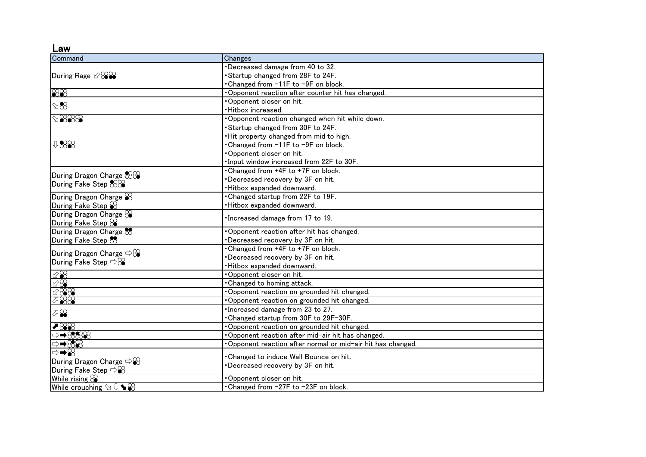Law

| Command                                                                                  | Changes                                                    |
|------------------------------------------------------------------------------------------|------------------------------------------------------------|
|                                                                                          | Decreased damage from 40 to 32.                            |
|                                                                                          | Startup changed from 28F to 24F.                           |
|                                                                                          | •Changed from −11F to −9F on block.                        |
| $\frac{888}{256}$                                                                        | · Opponent reaction after counter hit has changed.         |
| $\mathbb{S}\boxtimes$                                                                    | Opponent closer on hit.                                    |
|                                                                                          | · Hitbox increased.                                        |
| $\oslash$ $\otimes$ $\otimes$ $\otimes$                                                  | Opponent reaction changed when hit while down.             |
| ↓88                                                                                      | Startup changed from 30F to 24F.                           |
|                                                                                          | . Hit property changed from mid to high.                   |
|                                                                                          | Changed from -11F to -9F on block.                         |
|                                                                                          | Opponent closer on hit.                                    |
|                                                                                          | . Input window increased from 22F to 30F.                  |
| During Dragon Charge &<br>During Fake Step &88                                           | Changed from +4F to +7F on block.                          |
|                                                                                          | Decreased recovery by 3F on hit.                           |
|                                                                                          | ·Hitbox expanded downward.                                 |
| During Dragon Charge $\otimes$                                                           | . Changed startup from 22F to 19F.                         |
| During Fake Step $\%$                                                                    | Hitbox expanded downward.                                  |
| During Dragon Charge $\otimes$                                                           |                                                            |
| During Fake Step &                                                                       | . Increased damage from 17 to 19.                          |
| During Dragon Charge &                                                                   | Opponent reaction after hit has changed.                   |
| During Fake Step &                                                                       | Decreased recovery by 3F on hit.                           |
| During Dragon Charge $\Rightarrow$ $\otimes$<br>During Fake Step $\Rightarrow$ $\otimes$ | Changed from +4F to +7F on block.                          |
|                                                                                          | Decreased recovery by 3F on hit.                           |
|                                                                                          | ·Hitbox expanded downward.                                 |
| ⊵⊗                                                                                       | Opponent closer on hit.                                    |
| $\otimes\$                                                                               | . Changed to homing attack.                                |
| 1288                                                                                     | Opponent reaction on grounded hit changed.                 |
| 788                                                                                      | Opponent reaction on grounded hit changed.                 |
| ⊘⊗                                                                                       | . Increased damage from 23 to 27.                          |
|                                                                                          | • Changed startup from 30F to 29F-30F.                     |
| 788                                                                                      | Opponent reaction on grounded hit changed.                 |
| ⇨➡88888                                                                                  | . Opponent reaction after mid-air hit has changed.         |
| ⊕ <del>→</del> ⊗⊗                                                                        | Opponent reaction after normal or mid-air hit has changed. |
| ।⇔➡⊗                                                                                     |                                                            |
| During Dragon Charge $\Rightarrow \&$                                                    | Changed to induce Wall Bounce on hit.                      |
| During Fake Step $\Rightarrow \mathscr{C}$                                               | Decreased recovery by 3F on hit.                           |
| While rising $\mathcal{S}$                                                               | Opponent closer on hit.                                    |
| While crouching $\Im \sqrt{1} \blacktriangleright \mathcal{C}$                           | .Changed from -27F to -23F on block.                       |